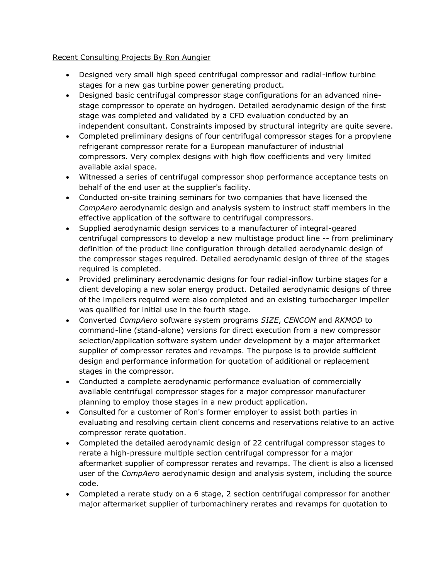## Recent Consulting Projects By Ron Aungier

- Designed very small high speed centrifugal compressor and radial-inflow turbine stages for a new gas turbine power generating product.
- Designed basic centrifugal compressor stage configurations for an advanced ninestage compressor to operate on hydrogen. Detailed aerodynamic design of the first stage was completed and validated by a CFD evaluation conducted by an independent consultant. Constraints imposed by structural integrity are quite severe.
- Completed preliminary designs of four centrifugal compressor stages for a propylene refrigerant compressor rerate for a European manufacturer of industrial compressors. Very complex designs with high flow coefficients and very limited available axial space.
- Witnessed a series of centrifugal compressor shop performance acceptance tests on behalf of the end user at the supplier's facility.
- Conducted on-site training seminars for two companies that have licensed the *CompAero* aerodynamic design and analysis system to instruct staff members in the effective application of the software to centrifugal compressors.
- Supplied aerodynamic design services to a manufacturer of integral-geared centrifugal compressors to develop a new multistage product line -- from preliminary definition of the product line configuration through detailed aerodynamic design of the compressor stages required. Detailed aerodynamic design of three of the stages required is completed.
- Provided preliminary aerodynamic designs for four radial-inflow turbine stages for a client developing a new solar energy product. Detailed aerodynamic designs of three of the impellers required were also completed and an existing turbocharger impeller was qualified for initial use in the fourth stage.
- Converted *CompAero* software system programs *SIZE*, *CENCOM* and *RKMOD* to command-line (stand-alone) versions for direct execution from a new compressor selection/application software system under development by a major aftermarket supplier of compressor rerates and revamps. The purpose is to provide sufficient design and performance information for quotation of additional or replacement stages in the compressor.
- Conducted a complete aerodynamic performance evaluation of commercially available centrifugal compressor stages for a major compressor manufacturer planning to employ those stages in a new product application.
- Consulted for a customer of Ron's former employer to assist both parties in evaluating and resolving certain client concerns and reservations relative to an active compressor rerate quotation.
- Completed the detailed aerodynamic design of 22 centrifugal compressor stages to rerate a high-pressure multiple section centrifugal compressor for a major aftermarket supplier of compressor rerates and revamps. The client is also a licensed user of the *CompAero* aerodynamic design and analysis system, including the source code.
- Completed a rerate study on a 6 stage, 2 section centrifugal compressor for another major aftermarket supplier of turbomachinery rerates and revamps for quotation to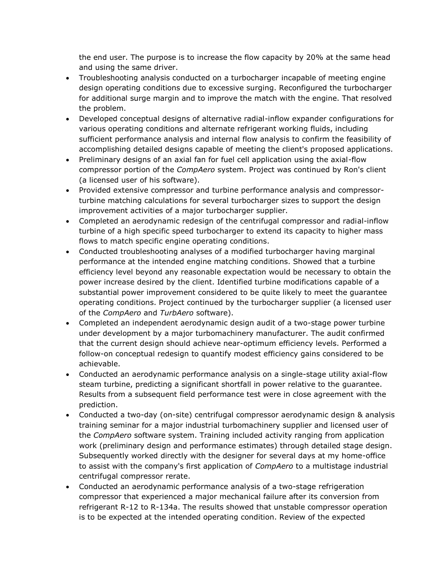the end user. The purpose is to increase the flow capacity by 20% at the same head and using the same driver.

- Troubleshooting analysis conducted on a turbocharger incapable of meeting engine design operating conditions due to excessive surging. Reconfigured the turbocharger for additional surge margin and to improve the match with the engine. That resolved the problem.
- Developed conceptual designs of alternative radial-inflow expander configurations for various operating conditions and alternate refrigerant working fluids, including sufficient performance analysis and internal flow analysis to confirm the feasibility of accomplishing detailed designs capable of meeting the client's proposed applications.
- Preliminary designs of an axial fan for fuel cell application using the axial-flow compressor portion of the *CompAero* system. Project was continued by Ron's client (a licensed user of his software).
- Provided extensive compressor and turbine performance analysis and compressorturbine matching calculations for several turbocharger sizes to support the design improvement activities of a major turbocharger supplier.
- Completed an aerodynamic redesign of the centrifugal compressor and radial-inflow turbine of a high specific speed turbocharger to extend its capacity to higher mass flows to match specific engine operating conditions.
- Conducted troubleshooting analyses of a modified turbocharger having marginal performance at the intended engine matching conditions. Showed that a turbine efficiency level beyond any reasonable expectation would be necessary to obtain the power increase desired by the client. Identified turbine modifications capable of a substantial power improvement considered to be quite likely to meet the guarantee operating conditions. Project continued by the turbocharger supplier (a licensed user of the *CompAero* and *TurbAero* software).
- Completed an independent aerodynamic design audit of a two-stage power turbine under development by a major turbomachinery manufacturer. The audit confirmed that the current design should achieve near-optimum efficiency levels. Performed a follow-on conceptual redesign to quantify modest efficiency gains considered to be achievable.
- Conducted an aerodynamic performance analysis on a single-stage utility axial-flow steam turbine, predicting a significant shortfall in power relative to the guarantee. Results from a subsequent field performance test were in close agreement with the prediction.
- Conducted a two-day (on-site) centrifugal compressor aerodynamic design & analysis training seminar for a major industrial turbomachinery supplier and licensed user of the *CompAero* software system. Training included activity ranging from application work (preliminary design and performance estimates) through detailed stage design. Subsequently worked directly with the designer for several days at my home-office to assist with the company's first application of *CompAero* to a multistage industrial centrifugal compressor rerate.
- Conducted an aerodynamic performance analysis of a two-stage refrigeration compressor that experienced a major mechanical failure after its conversion from refrigerant R-12 to R-134a. The results showed that unstable compressor operation is to be expected at the intended operating condition. Review of the expected